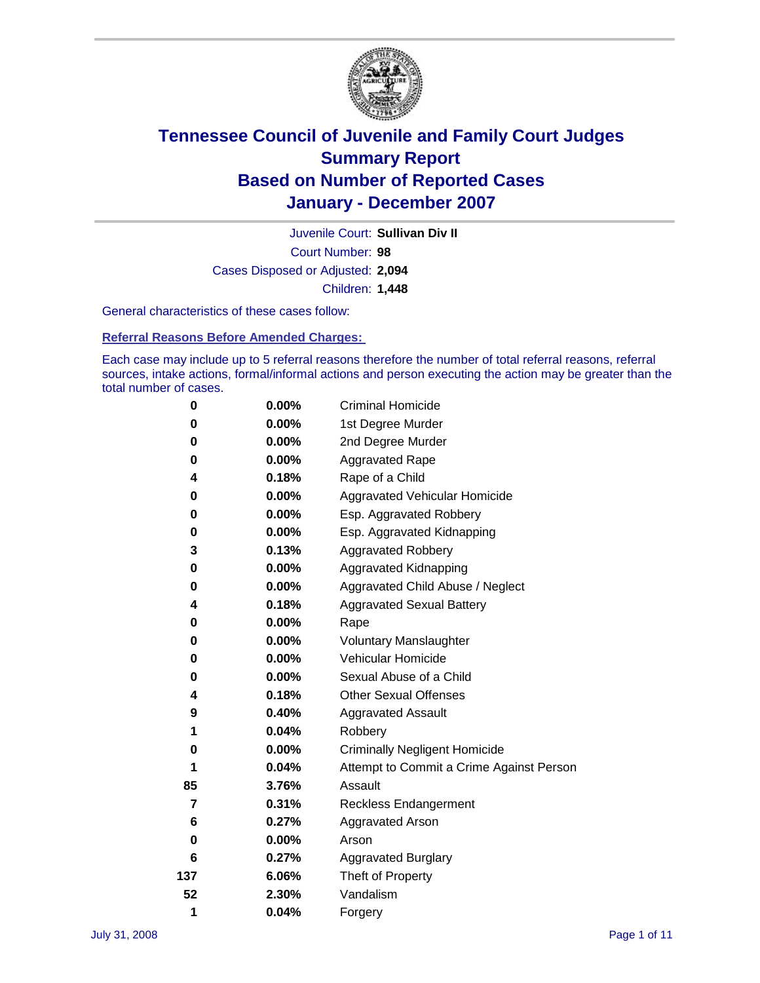

Court Number: **98** Juvenile Court: **Sullivan Div II** Cases Disposed or Adjusted: **2,094** Children: **1,448**

General characteristics of these cases follow:

**Referral Reasons Before Amended Charges:** 

Each case may include up to 5 referral reasons therefore the number of total referral reasons, referral sources, intake actions, formal/informal actions and person executing the action may be greater than the total number of cases.

| 0   | $0.00\%$ | <b>Criminal Homicide</b>                 |
|-----|----------|------------------------------------------|
| 0   | 0.00%    | 1st Degree Murder                        |
| 0   | $0.00\%$ | 2nd Degree Murder                        |
| 0   | 0.00%    | <b>Aggravated Rape</b>                   |
| 4   | 0.18%    | Rape of a Child                          |
| 0   | 0.00%    | Aggravated Vehicular Homicide            |
| 0   | 0.00%    | Esp. Aggravated Robbery                  |
| 0   | $0.00\%$ | Esp. Aggravated Kidnapping               |
| 3   | 0.13%    | <b>Aggravated Robbery</b>                |
| 0   | $0.00\%$ | Aggravated Kidnapping                    |
| 0   | 0.00%    | Aggravated Child Abuse / Neglect         |
| 4   | 0.18%    | <b>Aggravated Sexual Battery</b>         |
| 0   | 0.00%    | Rape                                     |
| 0   | $0.00\%$ | <b>Voluntary Manslaughter</b>            |
| 0   | 0.00%    | Vehicular Homicide                       |
| 0   | 0.00%    | Sexual Abuse of a Child                  |
| 4   | 0.18%    | <b>Other Sexual Offenses</b>             |
| 9   | 0.40%    | <b>Aggravated Assault</b>                |
| 1   | 0.04%    | Robbery                                  |
| 0   | 0.00%    | <b>Criminally Negligent Homicide</b>     |
| 1   | 0.04%    | Attempt to Commit a Crime Against Person |
| 85  | 3.76%    | Assault                                  |
| 7   | 0.31%    | <b>Reckless Endangerment</b>             |
| 6   | 0.27%    | <b>Aggravated Arson</b>                  |
| 0   | 0.00%    | Arson                                    |
| 6   | 0.27%    | <b>Aggravated Burglary</b>               |
| 137 | 6.06%    | Theft of Property                        |
| 52  | 2.30%    | Vandalism                                |
| 1   | 0.04%    | Forgery                                  |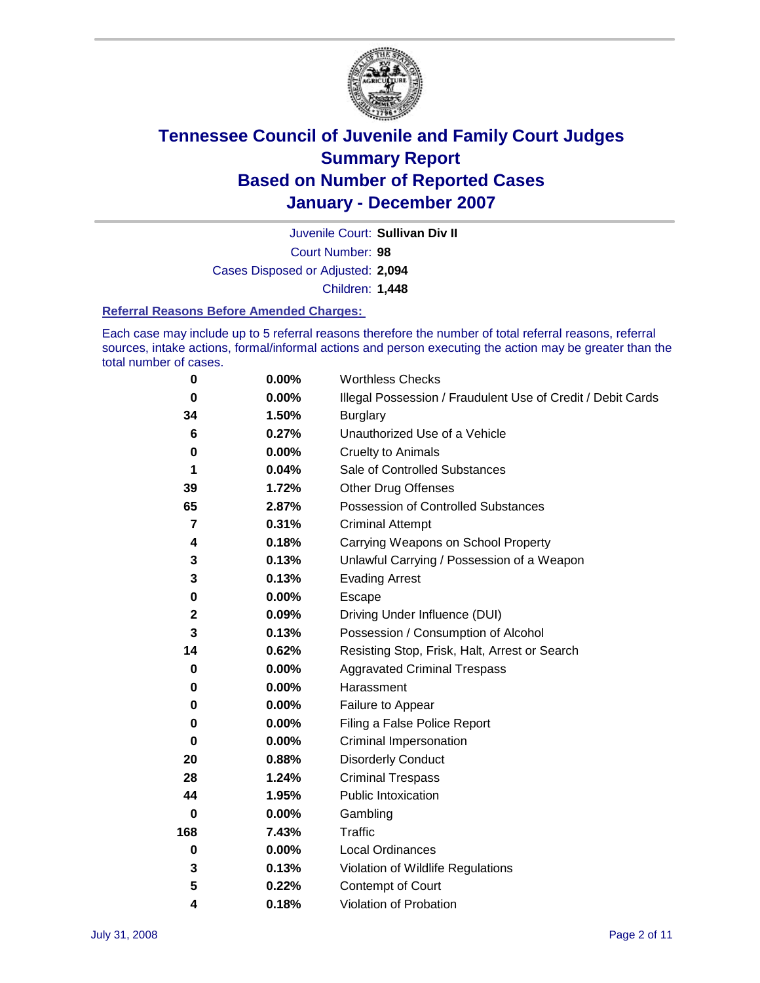

Court Number: **98** Juvenile Court: **Sullivan Div II** Cases Disposed or Adjusted: **2,094** Children: **1,448**

#### **Referral Reasons Before Amended Charges:**

Each case may include up to 5 referral reasons therefore the number of total referral reasons, referral sources, intake actions, formal/informal actions and person executing the action may be greater than the total number of cases.

| 0           | 0.00%    | <b>Worthless Checks</b>                                     |
|-------------|----------|-------------------------------------------------------------|
| 0           | 0.00%    | Illegal Possession / Fraudulent Use of Credit / Debit Cards |
| 34          | 1.50%    | <b>Burglary</b>                                             |
| 6           | 0.27%    | Unauthorized Use of a Vehicle                               |
| 0           | 0.00%    | <b>Cruelty to Animals</b>                                   |
| 1           | 0.04%    | Sale of Controlled Substances                               |
| 39          | 1.72%    | <b>Other Drug Offenses</b>                                  |
| 65          | 2.87%    | Possession of Controlled Substances                         |
| 7           | 0.31%    | <b>Criminal Attempt</b>                                     |
| 4           | 0.18%    | Carrying Weapons on School Property                         |
| 3           | 0.13%    | Unlawful Carrying / Possession of a Weapon                  |
| 3           | 0.13%    | <b>Evading Arrest</b>                                       |
| 0           | 0.00%    | Escape                                                      |
| $\mathbf 2$ | 0.09%    | Driving Under Influence (DUI)                               |
| 3           | 0.13%    | Possession / Consumption of Alcohol                         |
| 14          | 0.62%    | Resisting Stop, Frisk, Halt, Arrest or Search               |
| 0           | 0.00%    | <b>Aggravated Criminal Trespass</b>                         |
| 0           | 0.00%    | Harassment                                                  |
| 0           | 0.00%    | Failure to Appear                                           |
| 0           | 0.00%    | Filing a False Police Report                                |
| 0           | 0.00%    | Criminal Impersonation                                      |
| 20          | 0.88%    | <b>Disorderly Conduct</b>                                   |
| 28          | 1.24%    | <b>Criminal Trespass</b>                                    |
| 44          | 1.95%    | <b>Public Intoxication</b>                                  |
| 0           | 0.00%    | Gambling                                                    |
| 168         | 7.43%    | Traffic                                                     |
| $\mathbf 0$ | $0.00\%$ | <b>Local Ordinances</b>                                     |
| 3           | 0.13%    | Violation of Wildlife Regulations                           |
| 5           | 0.22%    | Contempt of Court                                           |
| 4           | 0.18%    | Violation of Probation                                      |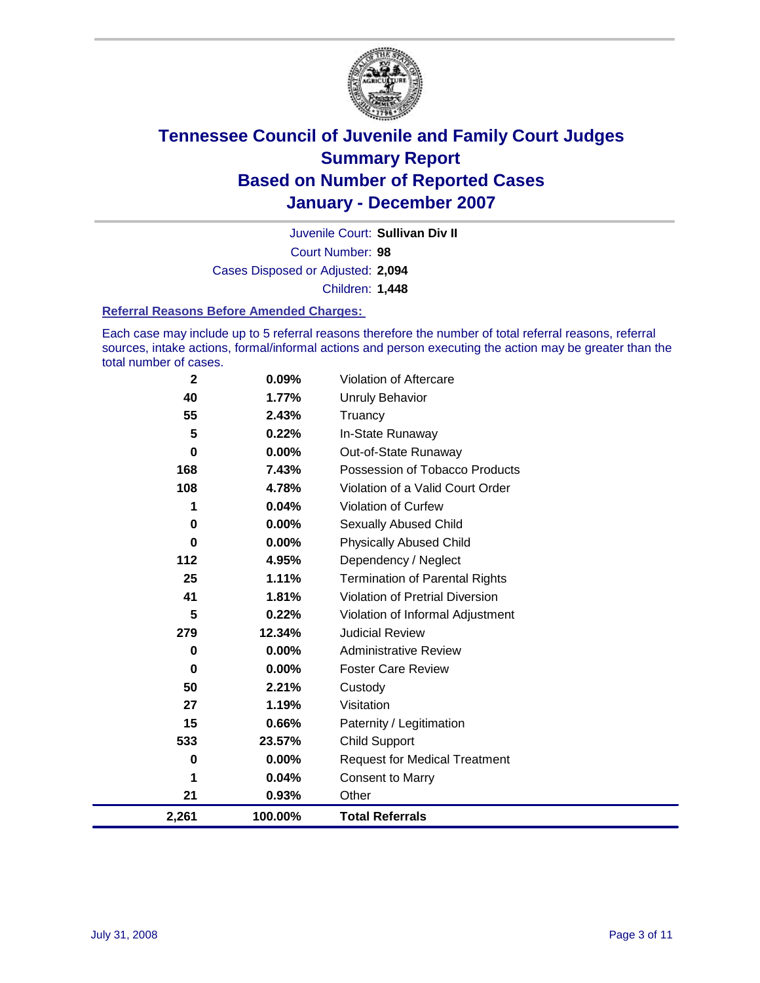

Court Number: **98** Juvenile Court: **Sullivan Div II** Cases Disposed or Adjusted: **2,094** Children: **1,448**

#### **Referral Reasons Before Amended Charges:**

Each case may include up to 5 referral reasons therefore the number of total referral reasons, referral sources, intake actions, formal/informal actions and person executing the action may be greater than the total number of cases.

| $\mathbf{2}$ | 0.09%    | Violation of Aftercare                 |
|--------------|----------|----------------------------------------|
| 40           | 1.77%    | <b>Unruly Behavior</b>                 |
| 55           | 2.43%    | Truancy                                |
| 5            | 0.22%    | In-State Runaway                       |
| $\mathbf 0$  | $0.00\%$ | Out-of-State Runaway                   |
| 168          | 7.43%    | Possession of Tobacco Products         |
| 108          | 4.78%    | Violation of a Valid Court Order       |
| 1            | 0.04%    | Violation of Curfew                    |
| $\mathbf 0$  | 0.00%    | <b>Sexually Abused Child</b>           |
| 0            | 0.00%    | <b>Physically Abused Child</b>         |
| 112          | 4.95%    | Dependency / Neglect                   |
| 25           | 1.11%    | <b>Termination of Parental Rights</b>  |
| 41           | 1.81%    | <b>Violation of Pretrial Diversion</b> |
| 5            | 0.22%    | Violation of Informal Adjustment       |
| 279          | 12.34%   | <b>Judicial Review</b>                 |
| 0            | $0.00\%$ | <b>Administrative Review</b>           |
| 0            | $0.00\%$ | <b>Foster Care Review</b>              |
| 50           | 2.21%    | Custody                                |
| 27           | 1.19%    | Visitation                             |
| 15           | 0.66%    | Paternity / Legitimation               |
| 533          | 23.57%   | <b>Child Support</b>                   |
| $\bf{0}$     | 0.00%    | <b>Request for Medical Treatment</b>   |
| 1            | 0.04%    | <b>Consent to Marry</b>                |
| 21           | 0.93%    | Other                                  |
| 2,261        | 100.00%  | <b>Total Referrals</b>                 |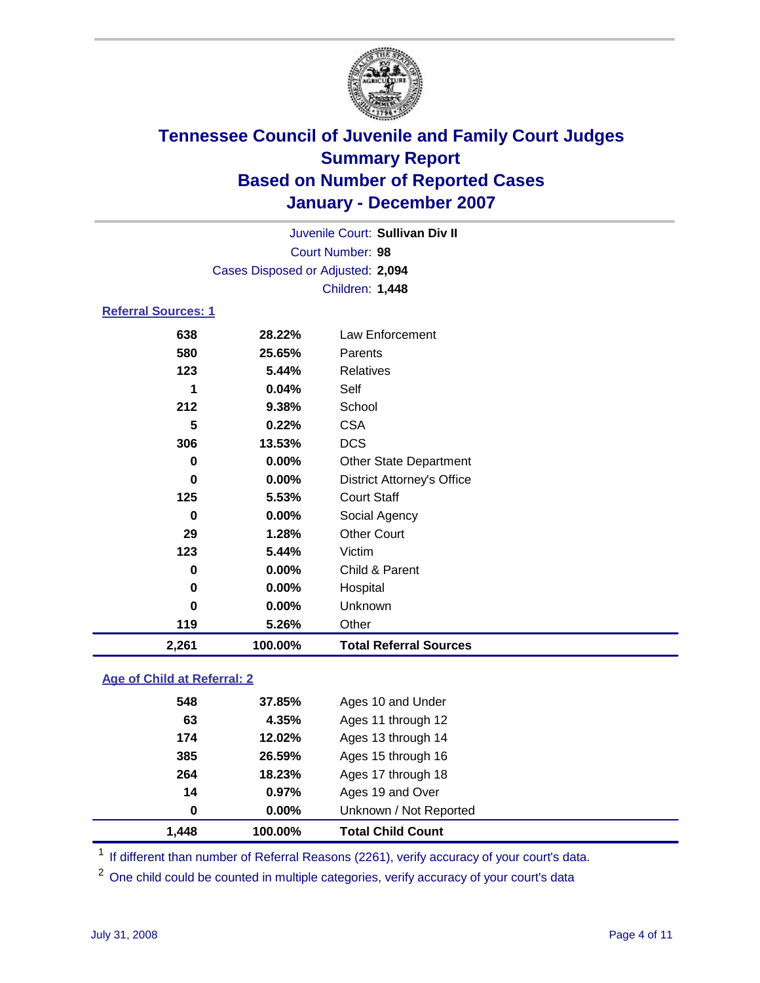

Court Number: **98** Juvenile Court: **Sullivan Div II** Cases Disposed or Adjusted: **2,094** Children: **1,448**

#### **Referral Sources: 1**

| 2,261 | 100.00% | <b>Total Referral Sources</b>     |
|-------|---------|-----------------------------------|
| 119   | 5.26%   | Other                             |
| 0     | 0.00%   | Unknown                           |
| 0     | 0.00%   | Hospital                          |
| 0     | 0.00%   | Child & Parent                    |
| 123   | 5.44%   | Victim                            |
| 29    | 1.28%   | <b>Other Court</b>                |
| 0     | 0.00%   | Social Agency                     |
| 125   | 5.53%   | <b>Court Staff</b>                |
| 0     | 0.00%   | <b>District Attorney's Office</b> |
| 0     | 0.00%   | <b>Other State Department</b>     |
| 306   | 13.53%  | <b>DCS</b>                        |
| 5     | 0.22%   | <b>CSA</b>                        |
| 212   | 9.38%   | School                            |
| 1     | 0.04%   | Self                              |
| 123   | 5.44%   | Relatives                         |
| 580   | 25.65%  | Parents                           |
| 638   | 28.22%  | Law Enforcement                   |

#### **Age of Child at Referral: 2**

| 1.448 | 100.00%  | <b>Total Child Count</b> |  |
|-------|----------|--------------------------|--|
| 0     | $0.00\%$ | Unknown / Not Reported   |  |
| 14    | 0.97%    | Ages 19 and Over         |  |
| 264   | 18.23%   | Ages 17 through 18       |  |
| 385   | 26.59%   | Ages 15 through 16       |  |
| 174   | 12.02%   | Ages 13 through 14       |  |
| 63    | 4.35%    | Ages 11 through 12       |  |
| 548   | 37.85%   | Ages 10 and Under        |  |
|       |          |                          |  |

<sup>1</sup> If different than number of Referral Reasons (2261), verify accuracy of your court's data.

<sup>2</sup> One child could be counted in multiple categories, verify accuracy of your court's data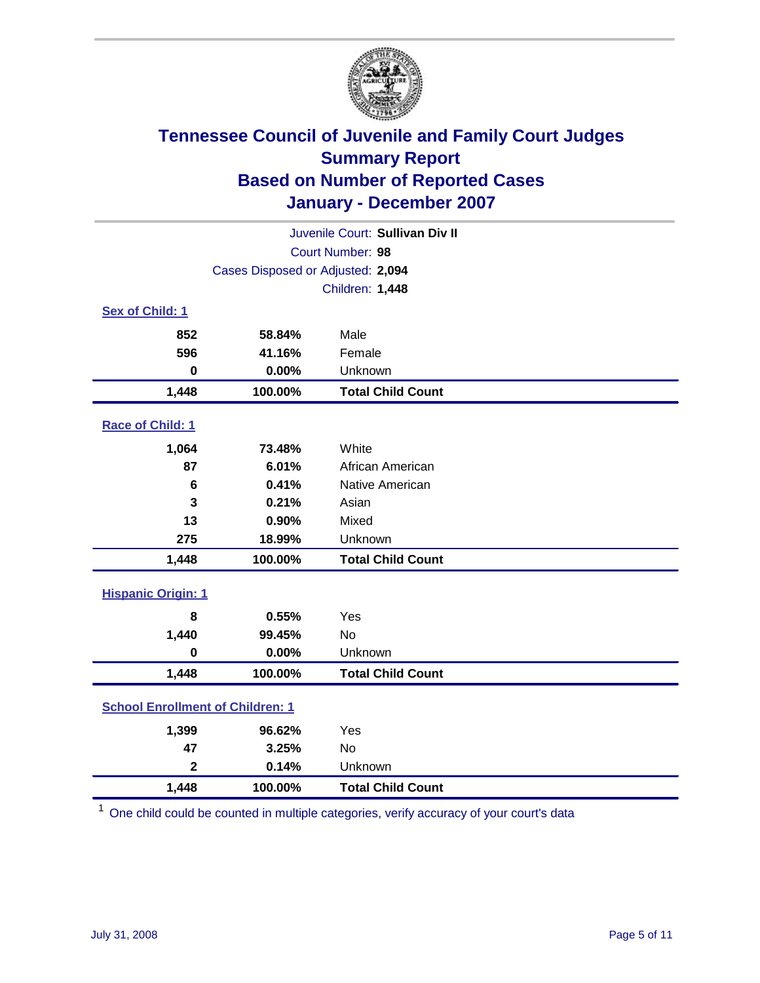

| Juvenile Court: Sullivan Div II         |                                   |                          |  |  |
|-----------------------------------------|-----------------------------------|--------------------------|--|--|
|                                         | Court Number: 98                  |                          |  |  |
|                                         | Cases Disposed or Adjusted: 2,094 |                          |  |  |
|                                         |                                   | Children: 1,448          |  |  |
| Sex of Child: 1                         |                                   |                          |  |  |
| 852                                     | 58.84%                            | Male                     |  |  |
| 596                                     | 41.16%                            | Female                   |  |  |
| $\bf{0}$                                | 0.00%                             | Unknown                  |  |  |
| 1,448                                   | 100.00%                           | <b>Total Child Count</b> |  |  |
| Race of Child: 1                        |                                   |                          |  |  |
| 1,064                                   | 73.48%                            | White                    |  |  |
| 87                                      | 6.01%                             | African American         |  |  |
| 6                                       | 0.41%                             | Native American          |  |  |
| 3                                       | 0.21%                             | Asian                    |  |  |
| 13                                      | 0.90%                             | Mixed                    |  |  |
| 275                                     | 18.99%                            | Unknown                  |  |  |
| 1,448                                   | 100.00%                           | <b>Total Child Count</b> |  |  |
| <b>Hispanic Origin: 1</b>               |                                   |                          |  |  |
| 8                                       | 0.55%                             | Yes                      |  |  |
| 1,440                                   | 99.45%                            | <b>No</b>                |  |  |
| $\mathbf 0$                             | 0.00%                             | Unknown                  |  |  |
| 1,448                                   | 100.00%                           | <b>Total Child Count</b> |  |  |
| <b>School Enrollment of Children: 1</b> |                                   |                          |  |  |
| 1,399                                   | 96.62%                            | Yes                      |  |  |
| 47                                      | 3.25%                             | <b>No</b>                |  |  |
| $\mathbf 2$                             | 0.14%                             | Unknown                  |  |  |
| 1,448                                   | 100.00%                           | <b>Total Child Count</b> |  |  |

 $1$  One child could be counted in multiple categories, verify accuracy of your court's data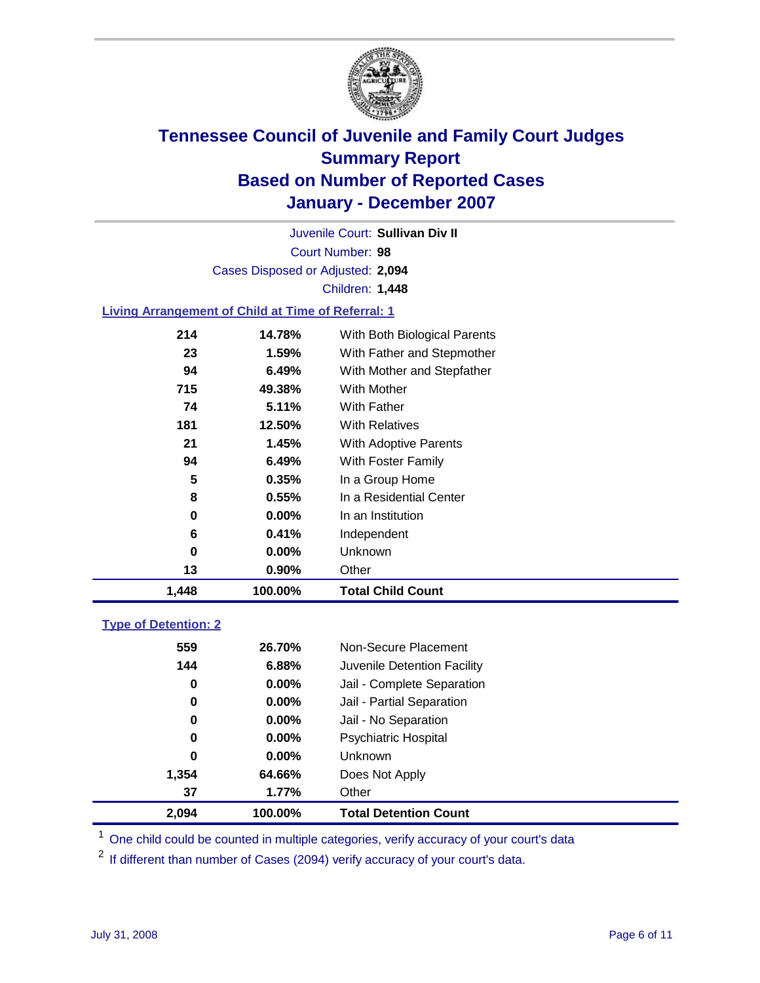

Court Number: **98** Juvenile Court: **Sullivan Div II** Cases Disposed or Adjusted: **2,094** Children: **1,448**

#### **Living Arrangement of Child at Time of Referral: 1**

| 1,448 | 100.00%  | <b>Total Child Count</b>     |
|-------|----------|------------------------------|
| 13    | $0.90\%$ | Other                        |
| 0     | $0.00\%$ | Unknown                      |
| 6     | 0.41%    | Independent                  |
| 0     | $0.00\%$ | In an Institution            |
| 8     | 0.55%    | In a Residential Center      |
| 5     | 0.35%    | In a Group Home              |
| 94    | 6.49%    | With Foster Family           |
| 21    | 1.45%    | With Adoptive Parents        |
| 181   | 12.50%   | <b>With Relatives</b>        |
| 74    | 5.11%    | With Father                  |
| 715   | 49.38%   | With Mother                  |
| 94    | 6.49%    | With Mother and Stepfather   |
| 23    | 1.59%    | With Father and Stepmother   |
| 214   | 14.78%   | With Both Biological Parents |
|       |          |                              |

#### **Type of Detention: 2**

| 2,094 | 100.00%  | <b>Total Detention Count</b> |  |
|-------|----------|------------------------------|--|
| 37    | 1.77%    | Other                        |  |
| 1,354 | 64.66%   | Does Not Apply               |  |
| 0     | $0.00\%$ | Unknown                      |  |
| 0     | 0.00%    | <b>Psychiatric Hospital</b>  |  |
| 0     | $0.00\%$ | Jail - No Separation         |  |
| 0     | $0.00\%$ | Jail - Partial Separation    |  |
| 0     | $0.00\%$ | Jail - Complete Separation   |  |
| 144   | 6.88%    | Juvenile Detention Facility  |  |
| 559   | 26.70%   | Non-Secure Placement         |  |
|       |          |                              |  |

<sup>1</sup> One child could be counted in multiple categories, verify accuracy of your court's data

<sup>2</sup> If different than number of Cases (2094) verify accuracy of your court's data.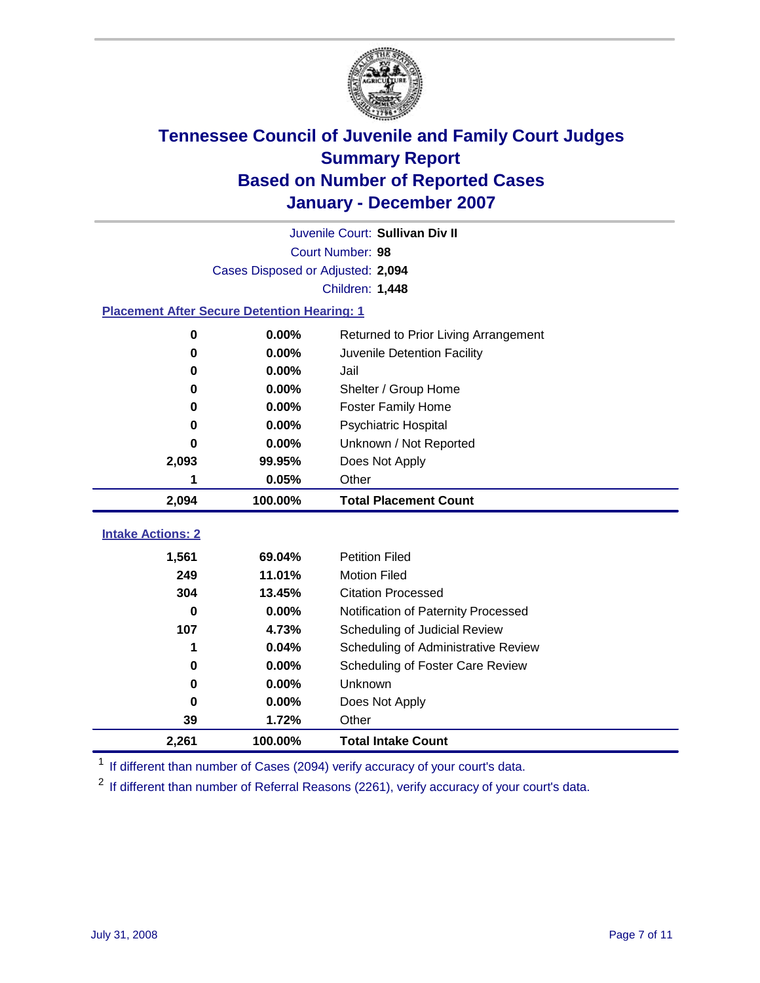

|                                                    | Juvenile Court: Sullivan Div II   |                                      |  |  |  |
|----------------------------------------------------|-----------------------------------|--------------------------------------|--|--|--|
|                                                    | Court Number: 98                  |                                      |  |  |  |
|                                                    | Cases Disposed or Adjusted: 2,094 |                                      |  |  |  |
|                                                    |                                   | Children: 1,448                      |  |  |  |
| <b>Placement After Secure Detention Hearing: 1</b> |                                   |                                      |  |  |  |
| 0                                                  | 0.00%                             | Returned to Prior Living Arrangement |  |  |  |
| $\bf{0}$                                           | 0.00%                             | Juvenile Detention Facility          |  |  |  |
| 0                                                  | 0.00%                             | Jail                                 |  |  |  |
| 0                                                  | 0.00%                             | Shelter / Group Home                 |  |  |  |
| $\bf{0}$                                           | 0.00%                             | <b>Foster Family Home</b>            |  |  |  |
| 0                                                  | 0.00%                             | Psychiatric Hospital                 |  |  |  |
| 0                                                  | 0.00%                             | Unknown / Not Reported               |  |  |  |
| 2,093                                              | 99.95%                            | Does Not Apply                       |  |  |  |
| 1                                                  | 0.05%                             | Other                                |  |  |  |
| 2,094                                              | 100.00%                           | <b>Total Placement Count</b>         |  |  |  |
|                                                    |                                   |                                      |  |  |  |
| <b>Intake Actions: 2</b>                           |                                   |                                      |  |  |  |
| 1,561                                              | 69.04%                            | <b>Petition Filed</b>                |  |  |  |
| 249                                                | 11.01%                            | <b>Motion Filed</b>                  |  |  |  |
| 304                                                | 13.45%                            | <b>Citation Processed</b>            |  |  |  |
| $\bf{0}$                                           | 0.00%                             | Notification of Paternity Processed  |  |  |  |
| 107                                                | 4.73%                             | Scheduling of Judicial Review        |  |  |  |
| 1                                                  | 0.04%                             | Scheduling of Administrative Review  |  |  |  |
| 0                                                  | 0.00%                             | Scheduling of Foster Care Review     |  |  |  |
| 0                                                  | 0.00%                             | Unknown                              |  |  |  |
| 0                                                  | 0.00%                             | Does Not Apply                       |  |  |  |
| 39                                                 | 1.72%                             | Other                                |  |  |  |
| 2,261                                              | 100.00%                           | <b>Total Intake Count</b>            |  |  |  |

<sup>1</sup> If different than number of Cases (2094) verify accuracy of your court's data.

<sup>2</sup> If different than number of Referral Reasons (2261), verify accuracy of your court's data.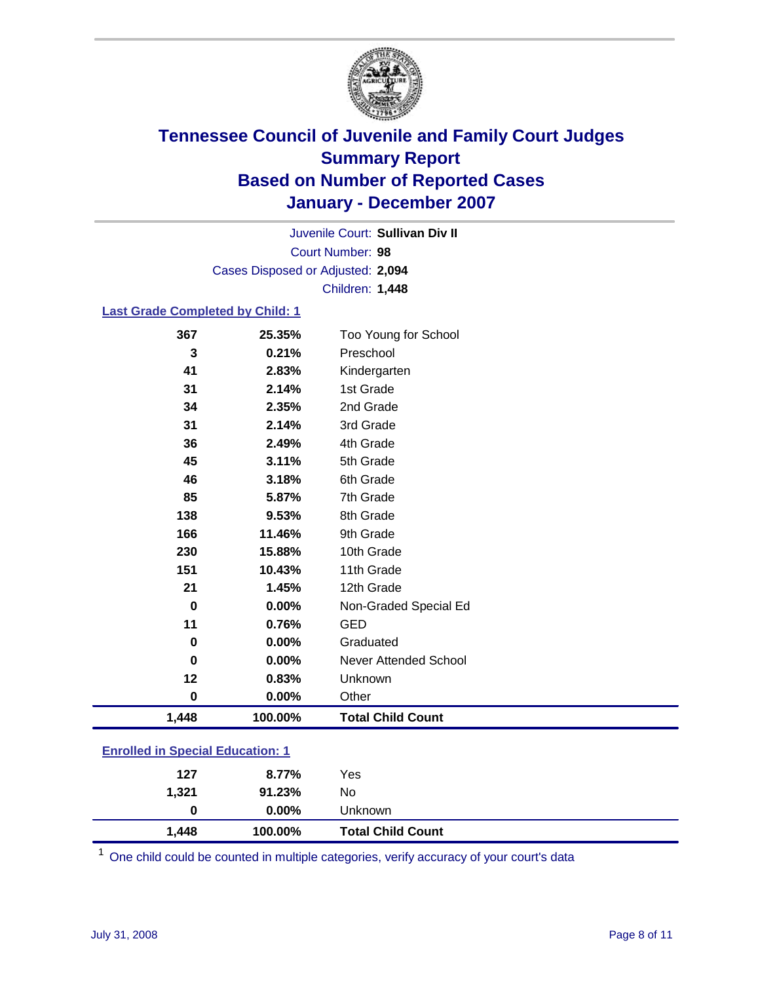

Court Number: **98** Juvenile Court: **Sullivan Div II** Cases Disposed or Adjusted: **2,094** Children: **1,448**

#### **Last Grade Completed by Child: 1**

| 1,448       | 100.00% | <b>Total Child Count</b>     |
|-------------|---------|------------------------------|
| $\pmb{0}$   | 0.00%   | Other                        |
| 12          | 0.83%   | Unknown                      |
| $\bf{0}$    | 0.00%   | <b>Never Attended School</b> |
| $\mathbf 0$ | 0.00%   | Graduated                    |
| 11          | 0.76%   | <b>GED</b>                   |
| $\mathbf 0$ | 0.00%   | Non-Graded Special Ed        |
| 21          | 1.45%   | 12th Grade                   |
| 151         | 10.43%  | 11th Grade                   |
| 230         | 15.88%  | 10th Grade                   |
| 166         | 11.46%  | 9th Grade                    |
| 138         | 9.53%   | 8th Grade                    |
| 85          | 5.87%   | 7th Grade                    |
| 46          | 3.18%   | 6th Grade                    |
| 45          | 3.11%   | 5th Grade                    |
| 36          | 2.49%   | 4th Grade                    |
| 31          | 2.14%   | 3rd Grade                    |
| 34          | 2.35%   | 2nd Grade                    |
| 31          | 2.14%   | 1st Grade                    |
| 41          | 2.83%   | Kindergarten                 |
| 3           | 0.21%   | Preschool                    |
| 367         | 25.35%  | Too Young for School         |

### **Enrolled in Special Education: 1**

| 127   | 8.77%    | Yes                      |
|-------|----------|--------------------------|
| 1,321 | 91.23%   | No                       |
| 0     | $0.00\%$ | Unknown                  |
| 1,448 | 100.00%  | <b>Total Child Count</b> |

One child could be counted in multiple categories, verify accuracy of your court's data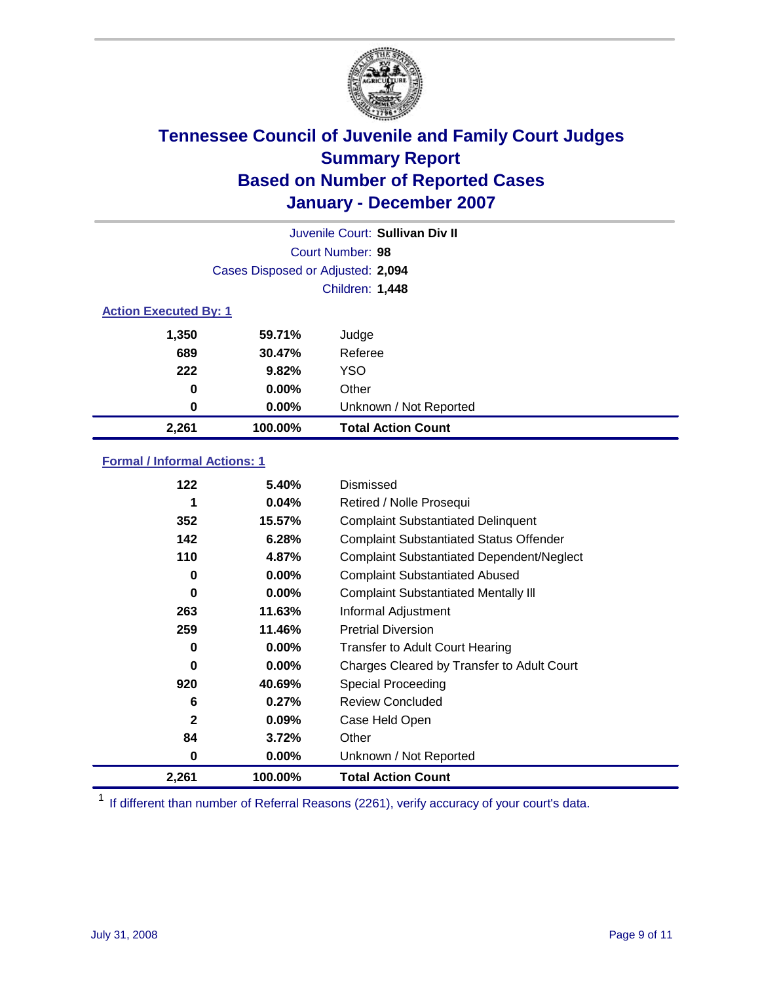

| Juvenile Court: Sullivan Div II |                                   |                           |  |  |
|---------------------------------|-----------------------------------|---------------------------|--|--|
|                                 | Court Number: 98                  |                           |  |  |
|                                 | Cases Disposed or Adjusted: 2,094 |                           |  |  |
|                                 |                                   | <b>Children: 1,448</b>    |  |  |
| <b>Action Executed By: 1</b>    |                                   |                           |  |  |
| 1,350                           | 59.71%                            | Judge                     |  |  |
| 689                             | 30.47%                            | Referee                   |  |  |
| 222                             | 9.82%                             | <b>YSO</b>                |  |  |
| 0                               | $0.00\%$                          | Other                     |  |  |
| 0                               | 0.00%                             | Unknown / Not Reported    |  |  |
| 2,261                           | 100.00%                           | <b>Total Action Count</b> |  |  |

### **Formal / Informal Actions: 1**

| 122          | 5.40%    | Dismissed                                        |
|--------------|----------|--------------------------------------------------|
|              | $0.04\%$ | Retired / Nolle Prosequi                         |
| 352          | 15.57%   | <b>Complaint Substantiated Delinquent</b>        |
| 142          | 6.28%    | <b>Complaint Substantiated Status Offender</b>   |
| 110          | 4.87%    | <b>Complaint Substantiated Dependent/Neglect</b> |
| 0            | 0.00%    | <b>Complaint Substantiated Abused</b>            |
| 0            | $0.00\%$ | <b>Complaint Substantiated Mentally III</b>      |
| 263          | 11.63%   | Informal Adjustment                              |
| 259          | 11.46%   | <b>Pretrial Diversion</b>                        |
| 0            | $0.00\%$ | <b>Transfer to Adult Court Hearing</b>           |
| 0            | $0.00\%$ | Charges Cleared by Transfer to Adult Court       |
| 920          | 40.69%   | Special Proceeding                               |
| 6            | 0.27%    | <b>Review Concluded</b>                          |
| $\mathbf{2}$ | 0.09%    | Case Held Open                                   |
| 84           | 3.72%    | Other                                            |
| 0            | $0.00\%$ | Unknown / Not Reported                           |
| 2,261        | 100.00%  | <b>Total Action Count</b>                        |

<sup>1</sup> If different than number of Referral Reasons (2261), verify accuracy of your court's data.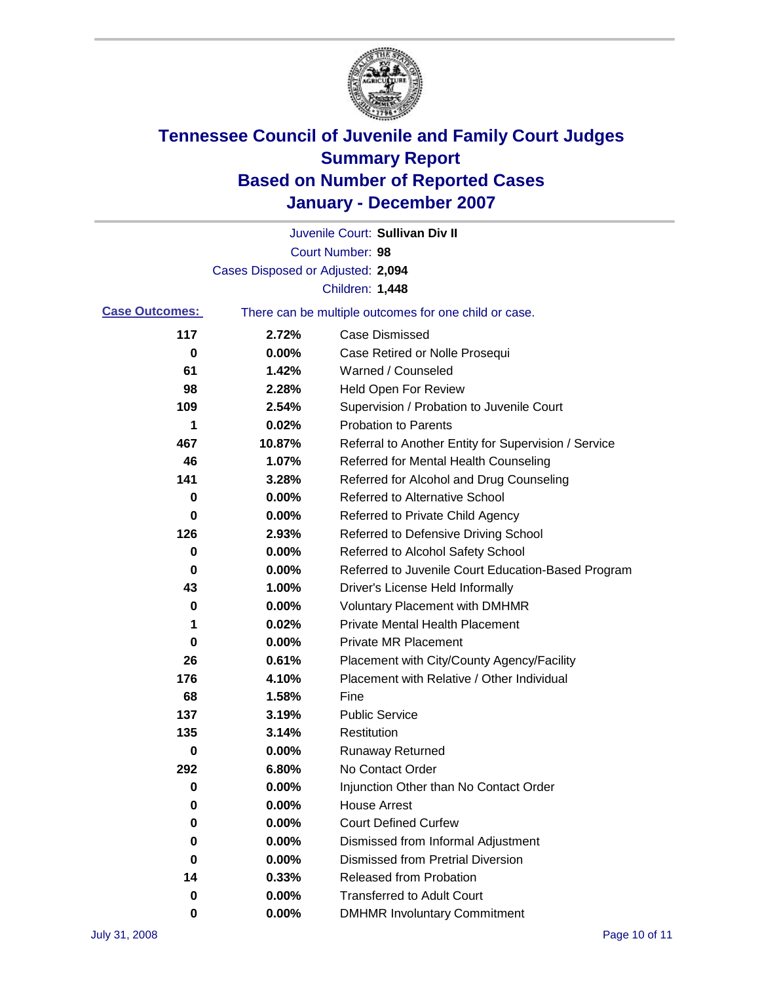

|                       |                                                       | Juvenile Court: Sullivan Div II                      |  |
|-----------------------|-------------------------------------------------------|------------------------------------------------------|--|
|                       |                                                       | Court Number: 98                                     |  |
|                       | Cases Disposed or Adjusted: 2,094                     |                                                      |  |
|                       |                                                       | Children: 1,448                                      |  |
| <b>Case Outcomes:</b> | There can be multiple outcomes for one child or case. |                                                      |  |
| 117                   | 2.72%                                                 | <b>Case Dismissed</b>                                |  |
| 0                     | $0.00\%$                                              | Case Retired or Nolle Prosequi                       |  |
| 61                    | 1.42%                                                 | Warned / Counseled                                   |  |
| 98                    | 2.28%                                                 | <b>Held Open For Review</b>                          |  |
| 109                   | 2.54%                                                 | Supervision / Probation to Juvenile Court            |  |
| 1                     | 0.02%                                                 | <b>Probation to Parents</b>                          |  |
| 467                   | 10.87%                                                | Referral to Another Entity for Supervision / Service |  |
| 46                    | 1.07%                                                 | Referred for Mental Health Counseling                |  |
| 141                   | 3.28%                                                 | Referred for Alcohol and Drug Counseling             |  |
| 0                     | 0.00%                                                 | <b>Referred to Alternative School</b>                |  |
| 0                     | 0.00%                                                 | Referred to Private Child Agency                     |  |
| 126                   | 2.93%                                                 | Referred to Defensive Driving School                 |  |
| 0                     | 0.00%                                                 | Referred to Alcohol Safety School                    |  |
| 0                     | 0.00%                                                 | Referred to Juvenile Court Education-Based Program   |  |
| 43                    | 1.00%                                                 | Driver's License Held Informally                     |  |
| 0                     | 0.00%                                                 | <b>Voluntary Placement with DMHMR</b>                |  |
| 1                     | 0.02%                                                 | <b>Private Mental Health Placement</b>               |  |
| 0                     | 0.00%                                                 | <b>Private MR Placement</b>                          |  |
| 26                    | 0.61%                                                 | Placement with City/County Agency/Facility           |  |
| 176                   | 4.10%                                                 | Placement with Relative / Other Individual           |  |
| 68                    | 1.58%                                                 | Fine                                                 |  |
| 137                   | 3.19%                                                 | <b>Public Service</b>                                |  |
| 135                   | 3.14%                                                 | Restitution                                          |  |
| 0                     | 0.00%                                                 | <b>Runaway Returned</b>                              |  |
| 292                   | 6.80%                                                 | No Contact Order                                     |  |
| 0                     | $0.00\%$                                              | Injunction Other than No Contact Order               |  |
| 0                     | 0.00%                                                 | <b>House Arrest</b>                                  |  |
| 0                     | 0.00%                                                 | <b>Court Defined Curfew</b>                          |  |
| 0                     | 0.00%                                                 | Dismissed from Informal Adjustment                   |  |
| 0                     | 0.00%                                                 | <b>Dismissed from Pretrial Diversion</b>             |  |
| 14                    | 0.33%                                                 | <b>Released from Probation</b>                       |  |
| 0                     | 0.00%                                                 | <b>Transferred to Adult Court</b>                    |  |
| 0                     | 0.00%                                                 | <b>DMHMR Involuntary Commitment</b>                  |  |